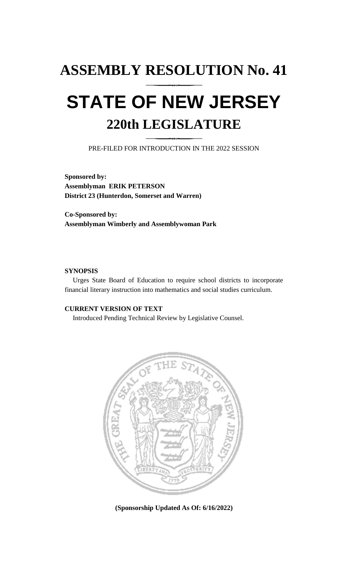# **ASSEMBLY RESOLUTION No. 41 STATE OF NEW JERSEY 220th LEGISLATURE**

PRE-FILED FOR INTRODUCTION IN THE 2022 SESSION

**Sponsored by: Assemblyman ERIK PETERSON District 23 (Hunterdon, Somerset and Warren)**

**Co-Sponsored by: Assemblyman Wimberly and Assemblywoman Park**

### **SYNOPSIS**

Urges State Board of Education to require school districts to incorporate financial literary instruction into mathematics and social studies curriculum.

## **CURRENT VERSION OF TEXT**

Introduced Pending Technical Review by Legislative Counsel.



**(Sponsorship Updated As Of: 6/16/2022)**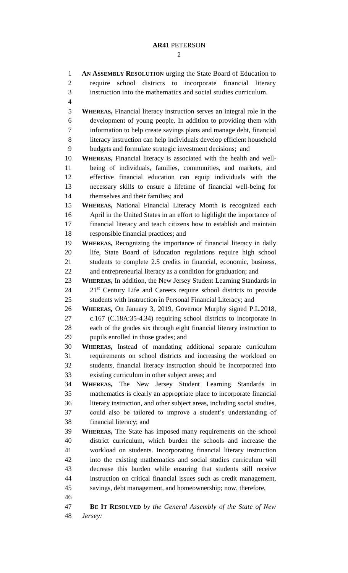## **AR41** PETERSON

| $\mathbf{1}$   | AN ASSEMBLY RESOLUTION urging the State Board of Education to                                                           |
|----------------|-------------------------------------------------------------------------------------------------------------------------|
| $\mathbf{2}$   | require school districts to incorporate financial literary                                                              |
| 3              | instruction into the mathematics and social studies curriculum.                                                         |
| $\overline{4}$ |                                                                                                                         |
| 5              | <b>WHEREAS, Financial literacy instruction serves an integral role in the</b>                                           |
| 6              | development of young people. In addition to providing them with                                                         |
| 7              | information to help create savings plans and manage debt, financial                                                     |
| 8              | literacy instruction can help individuals develop efficient household                                                   |
| 9              | budgets and formulate strategic investment decisions; and                                                               |
| 10             | WHEREAS, Financial literacy is associated with the health and well-                                                     |
| 11             | being of individuals, families, communities, and markets, and                                                           |
| 12             | effective financial education can equip individuals with the                                                            |
| 13             | necessary skills to ensure a lifetime of financial well-being for                                                       |
| 14             | themselves and their families; and                                                                                      |
| 15             | WHEREAS, National Financial Literacy Month is recognized each                                                           |
| 16             | April in the United States in an effort to highlight the importance of                                                  |
| 17             | financial literacy and teach citizens how to establish and maintain                                                     |
| 18             | responsible financial practices; and                                                                                    |
| 19             | WHEREAS, Recognizing the importance of financial literacy in daily                                                      |
| 20             | life, State Board of Education regulations require high school                                                          |
| 21             | students to complete 2.5 credits in financial, economic, business,                                                      |
| 22             | and entrepreneurial literacy as a condition for graduation; and                                                         |
| 23             | <b>WHEREAS, In addition, the New Jersey Student Learning Standards in</b>                                               |
| 24             | 21 <sup>st</sup> Century Life and Careers require school districts to provide                                           |
| 25             | students with instruction in Personal Financial Literacy; and                                                           |
| 26             | WHEREAS, On January 3, 2019, Governor Murphy signed P.L.2018,                                                           |
| 27             | c.167 (C.18A:35-4.34) requiring school districts to incorporate in                                                      |
| 28             | each of the grades six through eight financial literary instruction to                                                  |
| 29             | pupils enrolled in those grades; and                                                                                    |
| 30             | WHEREAS, Instead of mandating additional separate curriculum                                                            |
| 31             | requirements on school districts and increasing the workload on                                                         |
| 32<br>33       | students, financial literacy instruction should be incorporated into<br>existing curriculum in other subject areas; and |
| 34             | WHEREAS, The New Jersey Student Learning Standards in                                                                   |
| 35             | mathematics is clearly an appropriate place to incorporate financial                                                    |
| 36             | literary instruction, and other subject areas, including social studies,                                                |
| 37             | could also be tailored to improve a student's understanding of                                                          |
| 38             | financial literacy; and                                                                                                 |
| 39             | <b>WHEREAS</b> , The State has imposed many requirements on the school                                                  |
| 40             | district curriculum, which burden the schools and increase the                                                          |
| 41             | workload on students. Incorporating financial literary instruction                                                      |
| 42             | into the existing mathematics and social studies curriculum will                                                        |
| 43             | decrease this burden while ensuring that students still receive                                                         |
| 44             | instruction on critical financial issues such as credit management,                                                     |
| 45             | savings, debt management, and homeownership; now, therefore,                                                            |
| 46             |                                                                                                                         |
| 47             | <b>BE IT RESOLVED</b> by the General Assembly of the State of New                                                       |
| 48             | Jersey:                                                                                                                 |